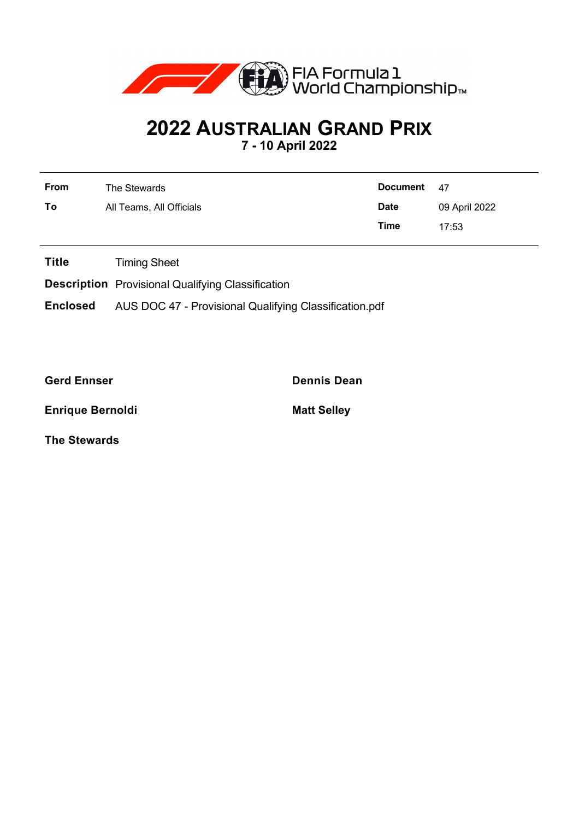

## **2022 AUSTRALIAN GRAND PRIX**

**7 - 10 April 2022**

| <b>From</b> | The Stewards             | Document    | 47            |
|-------------|--------------------------|-------------|---------------|
| To          | All Teams, All Officials | <b>Date</b> | 09 April 2022 |
|             |                          | Time        | 17:53         |

**Title** Timing Sheet

**Description** Provisional Qualifying Classification

**Enclosed** AUS DOC 47 - Provisional Qualifying Classification.pdf

**Gerd Ennser Dennis Dean**

**Enrique Bernoldi Matt Selley** 

**The Stewards**